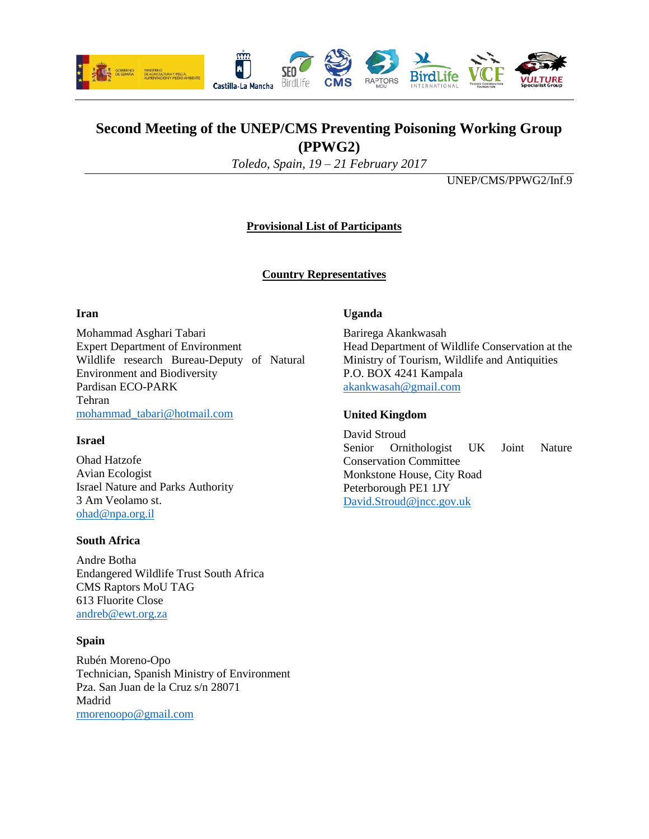

# **Second Meeting of the UNEP/CMS Preventing Poisoning Working Group (PPWG2)**

*Toledo, Spain, 19 – 21 February 2017*

UNEP/CMS/PPWG2/Inf.9

# **Provisional List of Participants**

# **Country Representatives**

### **Iran**

Mohammad Asghari Tabari Expert Department of Environment Wildlife research Bureau-Deputy of Natural Environment and Biodiversity Pardisan ECO-PARK Tehran [mohammad\\_tabari@hotmail.com](mailto:mohammad_tabari@hotmail.com)

### **Israel**

Ohad Hatzofe Avian Ecologist Israel Nature and Parks Authority 3 Am Veolamo st. [ohad@npa.org.il](mailto:ohad@npa.org.il)

### **South Africa**

Andre Botha Endangered Wildlife Trust South Africa CMS Raptors MoU TAG 613 Fluorite Close [andreb@ewt.org.za](mailto:andreb@ewt.org.za)

### **Spain**

Rubén Moreno-Opo Technician, Spanish Ministry of Environment Pza. San Juan de la Cruz s/n 28071 Madrid [rmorenoopo@gmail.com](mailto:rmorenoopo@gmail.com)

### **Uganda**

Barirega Akankwasah Head Department of Wildlife Conservation at the Ministry of Tourism, Wildlife and Antiquities P.O. BOX 4241 Kampala [akankwasah@gmail.com](mailto:akankwasah@gmail.com)

### **United Kingdom**

David Stroud Senior Ornithologist UK Joint Nature Conservation Committee Monkstone House, City Road Peterborough PE1 1JY [David.Stroud@jncc.gov.uk](mailto:David.Stroud@jncc.gov.uk)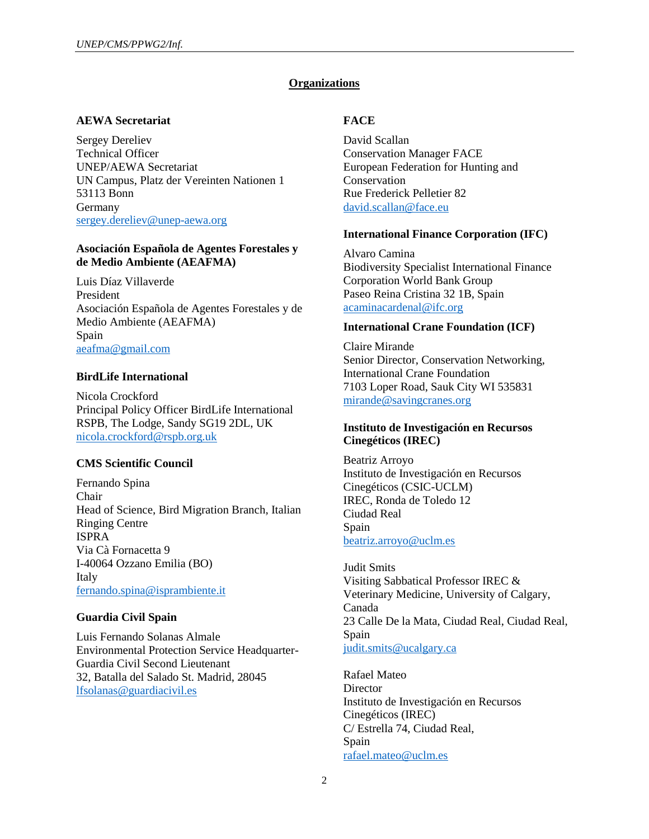### **Organizations**

#### **AEWA Secretariat**

Sergey Dereliev Technical Officer UNEP/AEWA Secretariat UN Campus, Platz der Vereinten Nationen 1 53113 Bonn Germany [sergey.dereliev@unep-aewa.org](mailto:sergey.dereliev@unep-aewa.org)

#### **Asociación Española de Agentes Forestales y de Medio Ambiente (AEAFMA)**

Luis Díaz Villaverde President Asociación Española de Agentes Forestales y de Medio Ambiente (AEAFMA) Spain [aeafma@gmail.com](mailto:aeafma@gmail.com)

### **BirdLife International**

Nicola Crockford Principal Policy Officer BirdLife International RSPB, The Lodge, Sandy SG19 2DL, UK [nicola.crockford@rspb.org.uk](mailto:nicola.crockford@rspb.org.uk)

#### **CMS Scientific Council**

Fernando Spina Chair Head of Science, Bird Migration Branch, Italian Ringing Centre ISPRA Via Cà Fornacetta 9 I-40064 Ozzano Emilia (BO) Italy [fernando.spina@isprambiente.it](mailto:fernando.spina@isprambiente.it)

### **Guardia Civil Spain**

Luis Fernando Solanas Almale Environmental Protection Service Headquarter-Guardia Civil Second Lieutenant 32, Batalla del Salado St. Madrid, 28045 [lfsolanas@guardiacivil.es](mailto:lfsolanas@guardiacivil.es)

### **FACE**

David Scallan Conservation Manager FACE European Federation for Hunting and Conservation Rue Frederick Pelletier 82 [david.scallan@face.eu](mailto:david.scallan@face.eu)

#### **International Finance Corporation (IFC)**

Alvaro Camina Biodiversity Specialist International Finance Corporation World Bank Group Paseo Reina Cristina 32 1B, Spain [acaminacardenal@ifc.org](mailto:acaminacardenal@ifc.org)

#### **International Crane Foundation (ICF)**

Claire Mirande Senior Director, Conservation Networking, International Crane Foundation 7103 Loper Road, Sauk City WI 535831 [mirande@savingcranes.org](mailto:mirande@savingcranes.org)

### **Instituto de Investigación en Recursos Cinegéticos (IREC)**

Beatriz Arroyo Instituto de Investigación en Recursos Cinegéticos (CSIC-UCLM) IREC, Ronda de Toledo 12 Ciudad Real Spain [beatriz.arroyo@uclm.es](mailto:beatriz.arroyo@uclm.es)

Judit Smits Visiting Sabbatical Professor IREC & Veterinary Medicine, University of Calgary, Canada 23 Calle De la Mata, Ciudad Real, Ciudad Real, Spain [judit.smits@ucalgary.ca](mailto:judit.smits@ucalgary.ca)

Rafael Mateo **Director** Instituto de Investigación en Recursos Cinegéticos (IREC) C/ Estrella 74, Ciudad Real, Spain [rafael.mateo@uclm.es](mailto:rafael.mateo@uclm.es)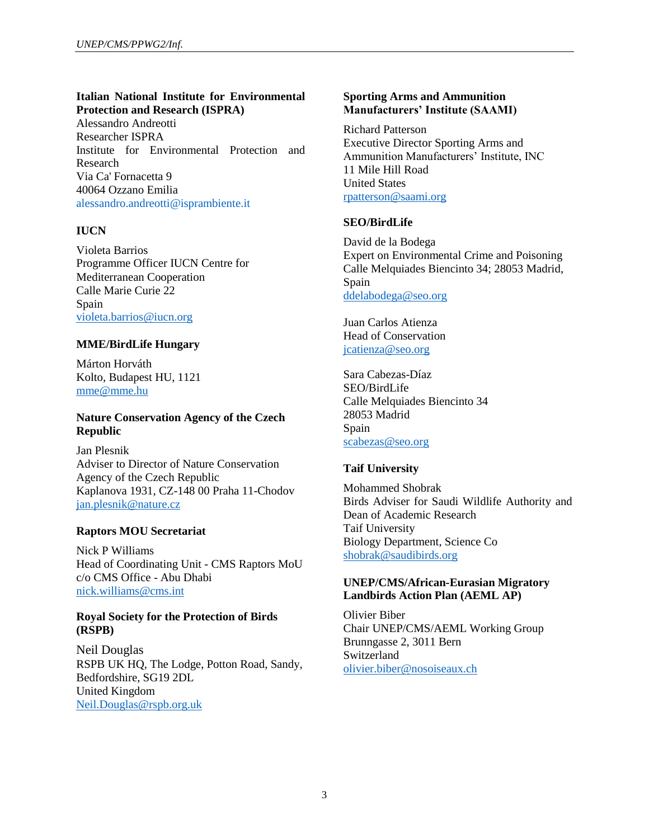# **Italian National Institute for Environmental Protection and Research (ISPRA)**

Alessandro Andreotti Researcher ISPRA Institute for Environmental Protection and Research Via Ca' Fornacetta 9 40064 Ozzano Emilia [alessandro.andreotti@isprambiente.it](mailto:alessandro.andreotti@isprambiente.it)

# **IUCN**

Violeta Barrios Programme Officer IUCN Centre for Mediterranean Cooperation Calle Marie Curie 22 Spain [violeta.barrios@iucn.org](mailto:violeta.barrios@iucn.org)

# **MME/BirdLife Hungary**

Márton Horváth Kolto, Budapest HU, 1121 [mme@mme.hu](mailto:mme@mme.hu)

# **Nature Conservation Agency of the Czech Republic**

Jan Plesnik Adviser to Director of Nature Conservation Agency of the Czech Republic Kaplanova 1931, CZ-148 00 Praha 11-Chodov [jan.plesnik@nature.cz](mailto:jan.plesnik@nature.cz)

# **Raptors MOU Secretariat**

Nick P Williams Head of Coordinating Unit - CMS Raptors MoU c/o CMS Office - Abu Dhabi [nick.williams@cms.int](mailto:nick.williams@cms.int)

### **Royal Society for the Protection of Birds (RSPB)**

Neil Douglas RSPB UK HQ, The Lodge, Potton Road, Sandy, Bedfordshire, SG19 2DL United Kingdom [Neil.Douglas@rspb.org.uk](mailto:Neil.Douglas@rspb.org.uk)

# **Sporting Arms and Ammunition Manufacturers' Institute (SAAMI)**

Richard Patterson Executive Director Sporting Arms and Ammunition Manufacturers' Institute, INC 11 Mile Hill Road United States [rpatterson@saami.org](mailto:rpatterson@saami.org)

# **SEO/BirdLife**

David de la Bodega Expert on Environmental Crime and Poisoning Calle Melquiades Biencinto 34; 28053 Madrid, Spain [ddelabodega@seo.org](mailto:ddelabodega@seo.org)

Juan Carlos Atienza Head of Conservation [jcatienza@seo.org](mailto:jcatienza@seo.org)

Sara Cabezas-Díaz SEO/BirdLife Calle Melquiades Biencinto 34 28053 Madrid Spain [scabezas@seo.org](mailto:scabezas@seo.org)

# **Taif University**

Mohammed Shobrak Birds Adviser for Saudi Wildlife Authority and Dean of Academic Research Taif University Biology Department, Science Co [shobrak@saudibirds.org](mailto:shobrak@saudibirds.org)

# **UNEP/CMS/African-Eurasian Migratory Landbirds Action Plan (AEML AP)**

Olivier Biber Chair UNEP/CMS/AEML Working Group Brunngasse 2, 3011 Bern Switzerland [olivier.biber@nosoiseaux.ch](mailto:olivier.biber@nosoiseaux.ch)